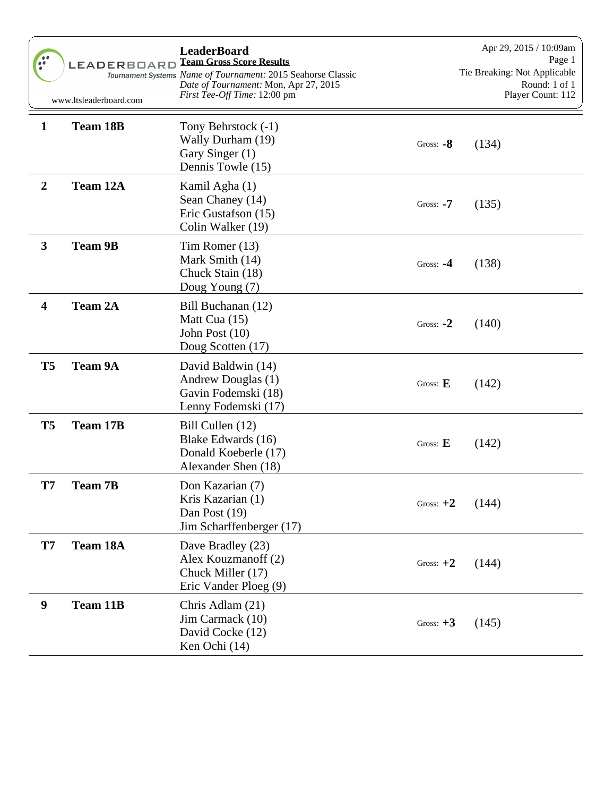|                         | <b>LEADERBOARD</b><br>www.ltsleaderboard.com | <b>LeaderBoard</b><br><b>Team Gross Score Results</b><br>Tournament Systems Name of Tournament: 2015 Seahorse Classic<br>Date of Tournament: Mon, Apr 27, 2015<br>First Tee-Off Time: 12:00 pm |             | Apr 29, 2015 / 10:09am<br>Page 1<br>Tie Breaking: Not Applicable<br>Round: 1 of 1<br>Player Count: 112 |
|-------------------------|----------------------------------------------|------------------------------------------------------------------------------------------------------------------------------------------------------------------------------------------------|-------------|--------------------------------------------------------------------------------------------------------|
| $\mathbf{1}$            | <b>Team 18B</b>                              | Tony Behrstock (-1)<br>Wally Durham (19)<br>Gary Singer (1)<br>Dennis Towle (15)                                                                                                               | Gross: $-8$ | (134)                                                                                                  |
| $\boldsymbol{2}$        | Team 12A                                     | Kamil Agha (1)<br>Sean Chaney (14)<br>Eric Gustafson (15)<br>Colin Walker (19)                                                                                                                 | Gross: $-7$ | (135)                                                                                                  |
| $\mathbf{3}$            | <b>Team 9B</b>                               | Tim Romer (13)<br>Mark Smith (14)<br>Chuck Stain (18)<br>Doug Young (7)                                                                                                                        | Gross: $-4$ | (138)                                                                                                  |
| $\overline{\mathbf{4}}$ | <b>Team 2A</b>                               | Bill Buchanan (12)<br>Matt Cua (15)<br>John Post (10)<br>Doug Scotten (17)                                                                                                                     | Gross: $-2$ | (140)                                                                                                  |
| T <sub>5</sub>          | <b>Team 9A</b>                               | David Baldwin (14)<br>Andrew Douglas (1)<br>Gavin Fodemski (18)<br>Lenny Fodemski (17)                                                                                                         | Gross: $E$  | (142)                                                                                                  |
| T <sub>5</sub>          | <b>Team 17B</b>                              | Bill Cullen (12)<br>Blake Edwards (16)<br>Donald Koeberle (17)<br>Alexander Shen (18)                                                                                                          | Gross: $E$  | (142)                                                                                                  |
| T7                      | <b>Team 7B</b>                               | Don Kazarian (7)<br>Kris Kazarian (1)<br>Dan Post (19)<br>Jim Scharffenberger (17)                                                                                                             | Gross: $+2$ | (144)                                                                                                  |
| T7                      | Team 18A                                     | Dave Bradley (23)<br>Alex Kouzmanoff (2)<br>Chuck Miller (17)<br>Eric Vander Ploeg (9)                                                                                                         | Gross: $+2$ | (144)                                                                                                  |
| 9                       | <b>Team 11B</b>                              | Chris Adlam (21)<br>Jim Carmack (10)<br>David Cocke (12)<br>Ken Ochi (14)                                                                                                                      | Gross: $+3$ | (145)                                                                                                  |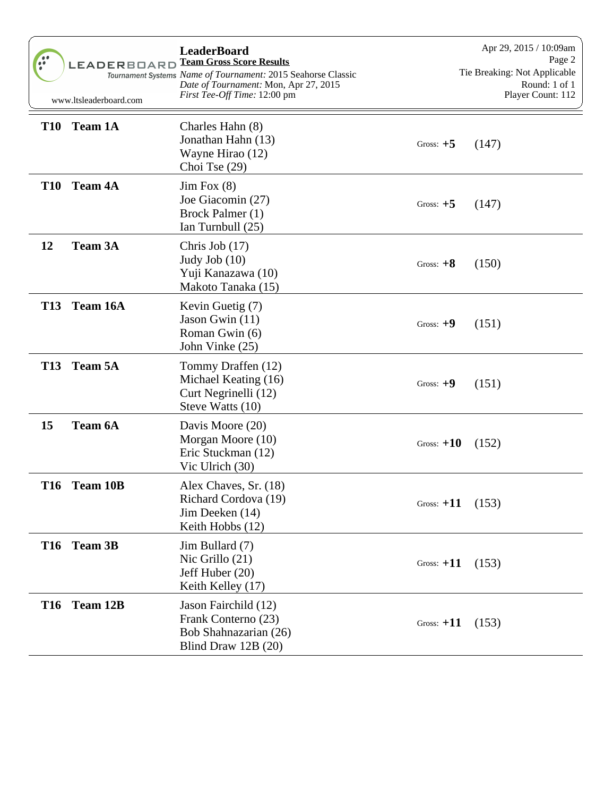| $\frac{1}{2}$ | LEADERBOARD<br>www.ltsleaderboard.com | <b>LeaderBoard</b><br><b>Team Gross Score Results</b><br>Tournament Systems Name of Tournament: 2015 Seahorse Classic<br>Date of Tournament: Mon, Apr 27, 2015<br>First Tee-Off Time: 12:00 pm |                    | Apr 29, 2015 / 10:09am<br>Page 2<br>Tie Breaking: Not Applicable<br>Round: 1 of 1<br>Player Count: 112 |
|---------------|---------------------------------------|------------------------------------------------------------------------------------------------------------------------------------------------------------------------------------------------|--------------------|--------------------------------------------------------------------------------------------------------|
| <b>T10</b>    | <b>Team 1A</b>                        | Charles Hahn (8)<br>Jonathan Hahn (13)<br>Wayne Hirao (12)<br>Choi Tse $(29)$                                                                                                                  | Gross: $+5$        | (147)                                                                                                  |
| <b>T10</b>    | <b>Team 4A</b>                        | $\text{Jim Fox } (8)$<br>Joe Giacomin (27)<br>Brock Palmer (1)<br>Ian Turnbull (25)                                                                                                            | Gross: $+5$        | (147)                                                                                                  |
| 12            | <b>Team 3A</b>                        | Chris Job $(17)$<br>Judy Job $(10)$<br>Yuji Kanazawa (10)<br>Makoto Tanaka (15)                                                                                                                | Gross: $+8$        | (150)                                                                                                  |
| <b>T13</b>    | Team 16A                              | Kevin Guetig (7)<br>Jason Gwin (11)<br>Roman Gwin (6)<br>John Vinke (25)                                                                                                                       | Gross: $+9$        | (151)                                                                                                  |
| <b>T13</b>    | <b>Team 5A</b>                        | Tommy Draffen (12)<br>Michael Keating (16)<br>Curt Negrinelli (12)<br>Steve Watts (10)                                                                                                         | Gross: $+9$        | (151)                                                                                                  |
| 15            | <b>Team 6A</b>                        | Davis Moore (20)<br>Morgan Moore (10)<br>Eric Stuckman (12)<br>Vic Ulrich (30)                                                                                                                 | Gross: $+10$       | (152)                                                                                                  |
| <b>T16</b>    | <b>Team 10B</b>                       | Alex Chaves, Sr. (18)<br>Richard Cordova (19)<br>Jim Deeken (14)<br>Keith Hobbs (12)                                                                                                           | Gross: $+11$ (153) |                                                                                                        |
|               | T16 Team 3B                           | Jim Bullard (7)<br>Nic Grillo $(21)$<br>Jeff Huber (20)<br>Keith Kelley (17)                                                                                                                   | Gross: $+11$       | (153)                                                                                                  |
| <b>T16</b>    | Team 12B                              | Jason Fairchild (12)<br>Frank Conterno (23)<br>Bob Shahnazarian (26)<br>Blind Draw 12B (20)                                                                                                    | Gross: $+11$       | (153)                                                                                                  |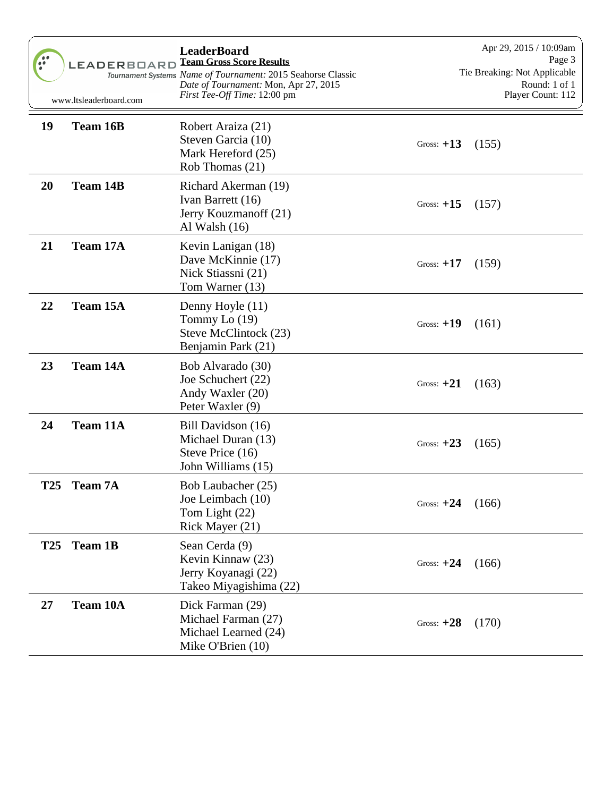|            | <b>LEADERBOARD</b><br>www.ltsleaderboard.com | <b>LeaderBoard</b><br><b>Team Gross Score Results</b><br>Tournament Systems Name of Tournament: 2015 Seahorse Classic<br>Date of Tournament: Mon, Apr 27, 2015<br><i>First Tee-Off Time:</i> 12:00 pm |              | Apr 29, 2015 / 10:09am<br>Page 3<br>Tie Breaking: Not Applicable<br>Round: 1 of 1<br>Player Count: 112 |
|------------|----------------------------------------------|-------------------------------------------------------------------------------------------------------------------------------------------------------------------------------------------------------|--------------|--------------------------------------------------------------------------------------------------------|
| 19         | Team 16B                                     | Robert Araiza (21)<br>Steven Garcia (10)<br>Mark Hereford (25)<br>Rob Thomas (21)                                                                                                                     | Gross: $+13$ | (155)                                                                                                  |
| 20         | <b>Team 14B</b>                              | Richard Akerman (19)<br>Ivan Barrett (16)<br>Jerry Kouzmanoff (21)<br>Al Walsh $(16)$                                                                                                                 | Gross: $+15$ | (157)                                                                                                  |
| 21         | Team 17A                                     | Kevin Lanigan (18)<br>Dave McKinnie (17)<br>Nick Stiassni (21)<br>Tom Warner (13)                                                                                                                     | Gross: $+17$ | (159)                                                                                                  |
| 22         | Team 15A                                     | Denny Hoyle (11)<br>Tommy Lo $(19)$<br>Steve McClintock (23)<br>Benjamin Park (21)                                                                                                                    | Gross: $+19$ | (161)                                                                                                  |
| 23         | <b>Team 14A</b>                              | Bob Alvarado (30)<br>Joe Schuchert (22)<br>Andy Waxler (20)<br>Peter Waxler (9)                                                                                                                       | Gross: $+21$ | (163)                                                                                                  |
| 24         | Team 11A                                     | Bill Davidson (16)<br>Michael Duran (13)<br>Steve Price (16)<br>John Williams (15)                                                                                                                    | Gross: $+23$ | (165)                                                                                                  |
| T25        | <b>Team 7A</b>                               | Bob Laubacher (25)<br>Joe Leimbach (10)<br>Tom Light (22)<br>Rick Mayer (21)                                                                                                                          | Gross: $+24$ | (166)                                                                                                  |
| <b>T25</b> | <b>Team 1B</b>                               | Sean Cerda (9)<br>Kevin Kinnaw (23)<br>Jerry Koyanagi (22)<br>Takeo Miyagishima (22)                                                                                                                  | Gross: $+24$ | (166)                                                                                                  |
| 27         | Team 10A                                     | Dick Farman (29)<br>Michael Farman (27)<br>Michael Learned (24)<br>Mike O'Brien (10)                                                                                                                  | Gross: $+28$ | (170)                                                                                                  |